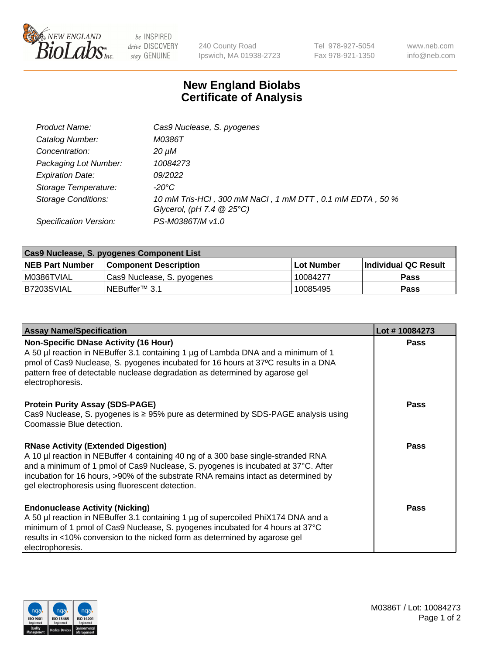

 $be$  INSPIRED drive DISCOVERY stay GENUINE

240 County Road Ipswich, MA 01938-2723 Tel 978-927-5054 Fax 978-921-1350 www.neb.com info@neb.com

## **New England Biolabs Certificate of Analysis**

| Product Name:              | Cas9 Nuclease, S. pyogenes                               |
|----------------------------|----------------------------------------------------------|
| Catalog Number:            | M0386T                                                   |
| Concentration:             | 20 µM                                                    |
| Packaging Lot Number:      | 10084273                                                 |
| <b>Expiration Date:</b>    | 09/2022                                                  |
| Storage Temperature:       | -20°C                                                    |
| <b>Storage Conditions:</b> | 10 mM Tris-HCl, 300 mM NaCl, 1 mM DTT, 0.1 mM EDTA, 50 % |
|                            | Glycerol, (pH 7.4 $@25°C$ )                              |
| Specification Version:     | PS-M0386T/M v1.0                                         |

| Cas9 Nuclease, S. pyogenes Component List |                              |                   |                      |  |  |
|-------------------------------------------|------------------------------|-------------------|----------------------|--|--|
| <b>NEB Part Number</b>                    | <b>Component Description</b> | <b>Lot Number</b> | Individual QC Result |  |  |
| I M0386TVIAL                              | Cas9 Nuclease, S. pyogenes   | 10084277          | <b>Pass</b>          |  |  |
| I B7203SVIAL                              | INEBuffer <sup>™</sup> 3.1   | 10085495          | Pass                 |  |  |

| <b>Assay Name/Specification</b>                                                                                                                                                                                                                                                                                                                                | Lot #10084273 |
|----------------------------------------------------------------------------------------------------------------------------------------------------------------------------------------------------------------------------------------------------------------------------------------------------------------------------------------------------------------|---------------|
| <b>Non-Specific DNase Activity (16 Hour)</b><br>A 50 µl reaction in NEBuffer 3.1 containing 1 µg of Lambda DNA and a minimum of 1<br> pmol of Cas9 Nuclease, S. pyogenes incubated for 16 hours at 37°C results in a DNA<br>pattern free of detectable nuclease degradation as determined by agarose gel<br>electrophoresis.                                   | <b>Pass</b>   |
| <b>Protein Purity Assay (SDS-PAGE)</b><br>Cas9 Nuclease, S. pyogenes is $\geq$ 95% pure as determined by SDS-PAGE analysis using<br>Coomassie Blue detection.                                                                                                                                                                                                  | <b>Pass</b>   |
| <b>RNase Activity (Extended Digestion)</b><br>A 10 µl reaction in NEBuffer 4 containing 40 ng of a 300 base single-stranded RNA<br>and a minimum of 1 pmol of Cas9 Nuclease, S. pyogenes is incubated at 37°C. After<br>incubation for 16 hours, >90% of the substrate RNA remains intact as determined by<br>gel electrophoresis using fluorescent detection. | Pass          |
| <b>Endonuclease Activity (Nicking)</b><br>A 50 µl reaction in NEBuffer 3.1 containing 1 µg of supercoiled PhiX174 DNA and a<br>minimum of 1 pmol of Cas9 Nuclease, S. pyogenes incubated for 4 hours at 37°C<br>results in <10% conversion to the nicked form as determined by agarose gel<br>electrophoresis.                                                 | Pass          |